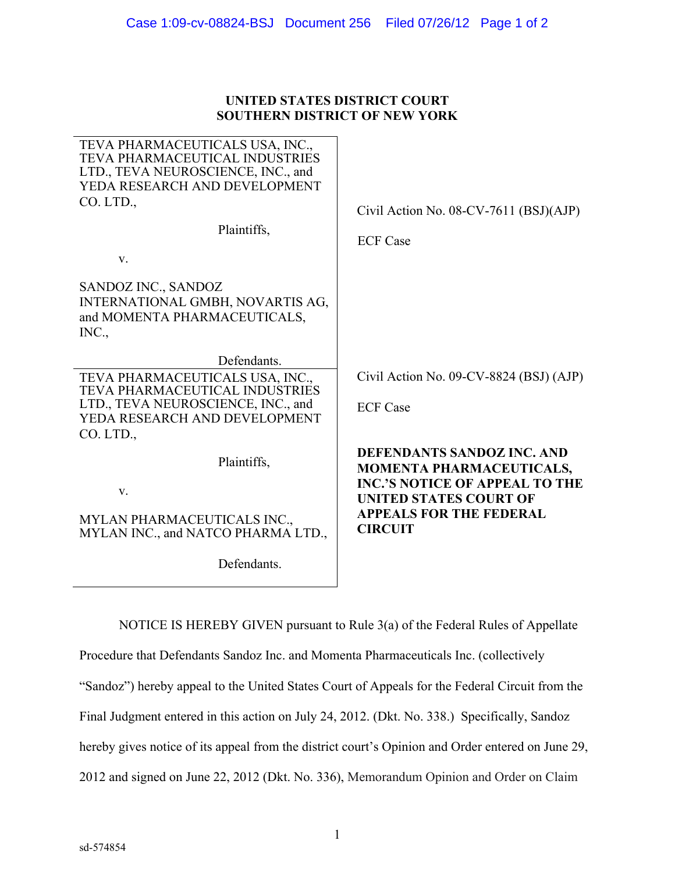## **UNITED STATES DISTRICT COURT SOUTHERN DISTRICT OF NEW YORK**

| TEVA PHARMACEUTICALS USA, INC.,<br><b>TEVA PHARMACEUTICAL INDUSTRIES</b><br>LTD., TEVA NEUROSCIENCE, INC., and<br>YEDA RESEARCH AND DEVELOPMENT<br>CO. LTD.,<br>Plaintiffs,<br>$V_{\cdot}$ | Civil Action No. 08-CV-7611 (BSJ)(AJP)<br><b>ECF Case</b>                                                                                                                 |
|--------------------------------------------------------------------------------------------------------------------------------------------------------------------------------------------|---------------------------------------------------------------------------------------------------------------------------------------------------------------------------|
| SANDOZ INC., SANDOZ<br>INTERNATIONAL GMBH, NOVARTIS AG,<br>and MOMENTA PHARMACEUTICALS,<br>INC.,                                                                                           |                                                                                                                                                                           |
| Defendants.                                                                                                                                                                                |                                                                                                                                                                           |
| TEVA PHARMACEUTICALS USA, INC.,<br><b>TEVA PHARMACEUTICAL INDUSTRIES</b>                                                                                                                   | Civil Action No. 09-CV-8824 (BSJ) (AJP)                                                                                                                                   |
| LTD., TEVA NEUROSCIENCE, INC., and                                                                                                                                                         | <b>ECF Case</b>                                                                                                                                                           |
| YEDA RESEARCH AND DEVELOPMENT                                                                                                                                                              |                                                                                                                                                                           |
| CO. LTD.,<br>Plaintiffs,<br>V.                                                                                                                                                             | DEFENDANTS SANDOZ INC. AND<br><b>MOMENTA PHARMACEUTICALS,</b><br><b>INC.'S NOTICE OF APPEAL TO THE</b><br><b>UNITED STATES COURT OF</b><br><b>APPEALS FOR THE FEDERAL</b> |
| MYLAN PHARMACEUTICALS INC.,<br>MYLAN INC., and NATCO PHARMA LTD.,                                                                                                                          | <b>CIRCUIT</b>                                                                                                                                                            |
|                                                                                                                                                                                            |                                                                                                                                                                           |
| Defendants.                                                                                                                                                                                |                                                                                                                                                                           |

NOTICE IS HEREBY GIVEN pursuant to Rule 3(a) of the Federal Rules of Appellate Procedure that Defendants Sandoz Inc. and Momenta Pharmaceuticals Inc. (collectively "Sandoz") hereby appeal to the United States Court of Appeals for the Federal Circuit from the Final Judgment entered in this action on July 24, 2012. (Dkt. No. 338.) Specifically, Sandoz hereby gives notice of its appeal from the district court's Opinion and Order entered on June 29, 2012 and signed on June 22, 2012 (Dkt. No. 336), Memorandum Opinion and Order on Claim